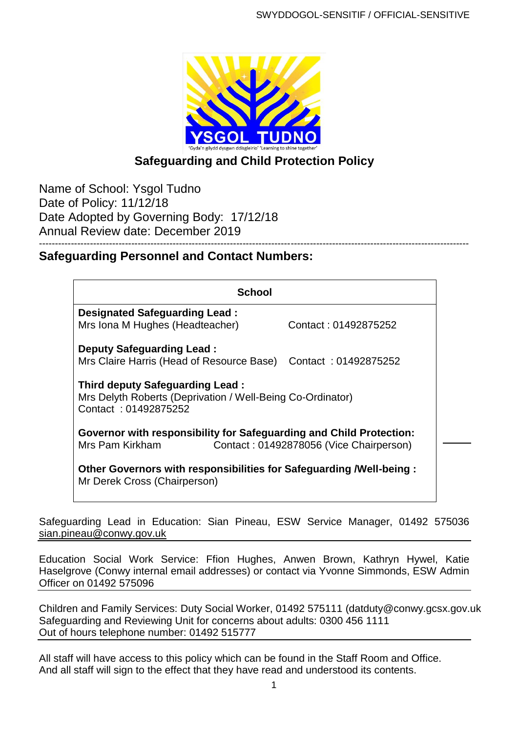

# **Safeguarding and Child Protection Policy**

Name of School: Ysgol Tudno Date of Policy: 11/12/18 Date Adopted by Governing Body: 17/12/18 Annual Review date: December 2019

# **Safeguarding Personnel and Contact Numbers:**

| School                                                                                                                            |                      |
|-----------------------------------------------------------------------------------------------------------------------------------|----------------------|
| Designated Safeguarding Lead:                                                                                                     | Contact: 01492875252 |
| Mrs Iona M Hughes (Headteacher)                                                                                                   |                      |
| <b>Deputy Safeguarding Lead:</b>                                                                                                  |                      |
| Mrs Claire Harris (Head of Resource Base) Contact: 01492875252                                                                    |                      |
| <b>Third deputy Safeguarding Lead:</b><br>Mrs Delyth Roberts (Deprivation / Well-Being Co-Ordinator)<br>Contact: 01492875252      |                      |
| Governor with responsibility for Safeguarding and Child Protection:<br>Contact: 01492878056 (Vice Chairperson)<br>Mrs Pam Kirkham |                      |
| Other Governors with responsibilities for Safeguarding / Well-being:<br>Mr Derek Cross (Chairperson)                              |                      |

Safeguarding Lead in Education: Sian Pineau, ESW Service Manager, 01492 575036 [sian.pineau@conwy.gov.uk](mailto:sian.pineau@conwy.gov.uk)

Education Social Work Service: Ffion Hughes, Anwen Brown, Kathryn Hywel, Katie Haselgrove (Conwy internal email addresses) or contact via Yvonne Simmonds, ESW Admin Officer on 01492 575096

Children and Family Services: Duty Social Worker, 01492 575111 (datduty@conwy.gcsx.gov.uk Safeguarding and Reviewing Unit for concerns about adults: 0300 456 1111 Out of hours telephone number: 01492 515777

All staff will have access to this policy which can be found in the Staff Room and Office. And all staff will sign to the effect that they have read and understood its contents.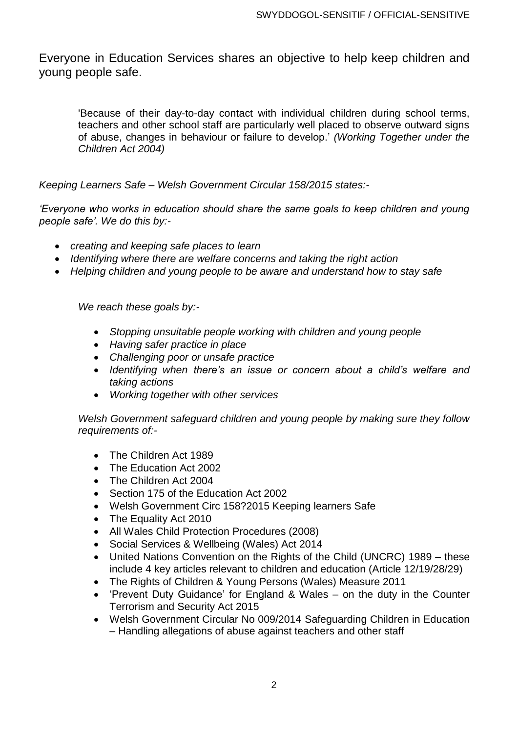Everyone in Education Services shares an objective to help keep children and young people safe.

'Because of their day-to-day contact with individual children during school terms, teachers and other school staff are particularly well placed to observe outward signs of abuse, changes in behaviour or failure to develop.' *(Working Together under the Children Act 2004)*

*Keeping Learners Safe – Welsh Government Circular 158/2015 states:-*

*'Everyone who works in education should share the same goals to keep children and young people safe'. We do this by:-*

- *creating and keeping safe places to learn*
- *Identifying where there are welfare concerns and taking the right action*
- *Helping children and young people to be aware and understand how to stay safe*

*We reach these goals by:-*

- *Stopping unsuitable people working with children and young people*
- *Having safer practice in place*
- *Challenging poor or unsafe practice*
- *Identifying when there's an issue or concern about a child's welfare and taking actions*
- *Working together with other services*

*Welsh Government safeguard children and young people by making sure they follow requirements of:-*

- The Children Act 1989
- The Education Act 2002
- The Children Act 2004
- Section 175 of the Education Act 2002
- Welsh Government Circ 158?2015 Keeping learners Safe
- The Equality Act 2010
- All Wales Child Protection Procedures (2008)
- Social Services & Wellbeing (Wales) Act 2014
- United Nations Convention on the Rights of the Child (UNCRC) 1989 these include 4 key articles relevant to children and education (Article 12/19/28/29)
- The Rights of Children & Young Persons (Wales) Measure 2011
- 'Prevent Duty Guidance' for England & Wales on the duty in the Counter Terrorism and Security Act 2015
- Welsh Government Circular No 009/2014 Safeguarding Children in Education – Handling allegations of abuse against teachers and other staff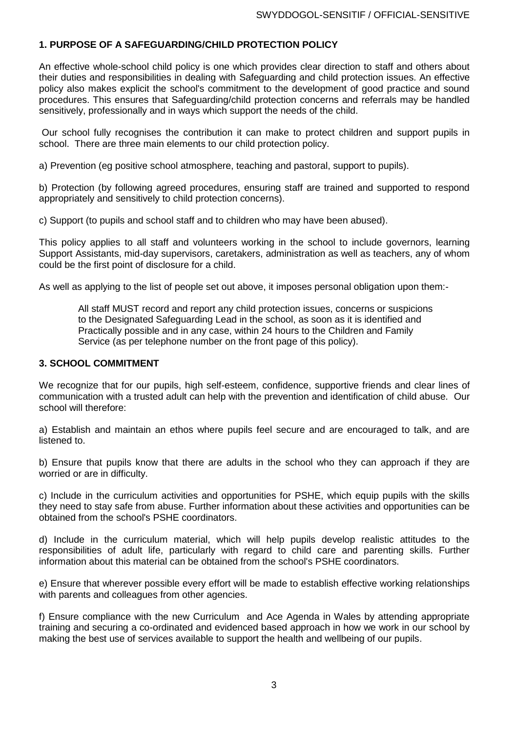# **1. PURPOSE OF A SAFEGUARDING/CHILD PROTECTION POLICY**

An effective whole-school child policy is one which provides clear direction to staff and others about their duties and responsibilities in dealing with Safeguarding and child protection issues. An effective policy also makes explicit the school's commitment to the development of good practice and sound procedures. This ensures that Safeguarding/child protection concerns and referrals may be handled sensitively, professionally and in ways which support the needs of the child.

Our school fully recognises the contribution it can make to protect children and support pupils in school. There are three main elements to our child protection policy.

a) Prevention (eg positive school atmosphere, teaching and pastoral, support to pupils).

b) Protection (by following agreed procedures, ensuring staff are trained and supported to respond appropriately and sensitively to child protection concerns).

c) Support (to pupils and school staff and to children who may have been abused).

This policy applies to all staff and volunteers working in the school to include governors, learning Support Assistants, mid-day supervisors, caretakers, administration as well as teachers, any of whom could be the first point of disclosure for a child.

As well as applying to the list of people set out above, it imposes personal obligation upon them:-

All staff MUST record and report any child protection issues, concerns or suspicions to the Designated Safeguarding Lead in the school, as soon as it is identified and Practically possible and in any case, within 24 hours to the Children and Family Service (as per telephone number on the front page of this policy).

#### **3. SCHOOL COMMITMENT**

We recognize that for our pupils, high self-esteem, confidence, supportive friends and clear lines of communication with a trusted adult can help with the prevention and identification of child abuse. Our school will therefore:

a) Establish and maintain an ethos where pupils feel secure and are encouraged to talk, and are listened to.

b) Ensure that pupils know that there are adults in the school who they can approach if they are worried or are in difficulty.

c) Include in the curriculum activities and opportunities for PSHE, which equip pupils with the skills they need to stay safe from abuse. Further information about these activities and opportunities can be obtained from the school's PSHE coordinators.

d) Include in the curriculum material, which will help pupils develop realistic attitudes to the responsibilities of adult life, particularly with regard to child care and parenting skills. Further information about this material can be obtained from the school's PSHE coordinators.

e) Ensure that wherever possible every effort will be made to establish effective working relationships with parents and colleagues from other agencies.

f) Ensure compliance with the new Curriculum and Ace Agenda in Wales by attending appropriate training and securing a co-ordinated and evidenced based approach in how we work in our school by making the best use of services available to support the health and wellbeing of our pupils.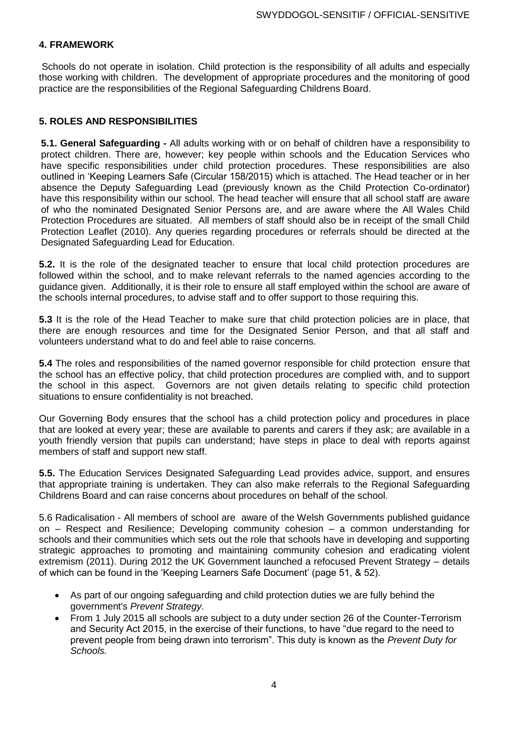### **4. FRAMEWORK**

Schools do not operate in isolation. Child protection is the responsibility of all adults and especially those working with children. The development of appropriate procedures and the monitoring of good practice are the responsibilities of the Regional Safeguarding Childrens Board.

### **5. ROLES AND RESPONSIBILITIES**

**5.1. General Safeguarding -** All adults working with or on behalf of children have a responsibility to protect children. There are, however; key people within schools and the Education Services who have specific responsibilities under child protection procedures. These responsibilities are also outlined in 'Keeping Learners Safe (Circular 158/2015) which is attached. The Head teacher or in her absence the Deputy Safeguarding Lead (previously known as the Child Protection Co-ordinator) have this responsibility within our school. The head teacher will ensure that all school staff are aware of who the nominated Designated Senior Persons are, and are aware where the All Wales Child Protection Procedures are situated. All members of staff should also be in receipt of the small Child Protection Leaflet (2010). Any queries regarding procedures or referrals should be directed at the Designated Safeguarding Lead for Education.

**5.2.** It is the role of the designated teacher to ensure that local child protection procedures are followed within the school, and to make relevant referrals to the named agencies according to the guidance given. Additionally, it is their role to ensure all staff employed within the school are aware of the schools internal procedures, to advise staff and to offer support to those requiring this.

**5.3** It is the role of the Head Teacher to make sure that child protection policies are in place, that there are enough resources and time for the Designated Senior Person, and that all staff and volunteers understand what to do and feel able to raise concerns.

**5.4** The roles and responsibilities of the named governor responsible for child protection ensure that the school has an effective policy, that child protection procedures are complied with, and to support the school in this aspect. Governors are not given details relating to specific child protection situations to ensure confidentiality is not breached.

Our Governing Body ensures that the school has a child protection policy and procedures in place that are looked at every year; these are available to parents and carers if they ask; are available in a youth friendly version that pupils can understand; have steps in place to deal with reports against members of staff and support new staff.

**5.5.** The Education Services Designated Safeguarding Lead provides advice, support, and ensures that appropriate training is undertaken. They can also make referrals to the Regional Safeguarding Childrens Board and can raise concerns about procedures on behalf of the school.

5.6 Radicalisation - All members of school are aware of the Welsh Governments published guidance on – Respect and Resilience; Developing community cohesion – a common understanding for schools and their communities which sets out the role that schools have in developing and supporting strategic approaches to promoting and maintaining community cohesion and eradicating violent extremism (2011). During 2012 the UK Government launched a refocused Prevent Strategy – details of which can be found in the 'Keeping Learners Safe Document' (page 51, & 52).

- As part of our ongoing safeguarding and child protection duties we are fully behind the government's *Prevent Strategy*.
- From 1 July 2015 all schools are subject to a duty under section 26 of the Counter-Terrorism and Security Act 2015, in the exercise of their functions, to have "due regard to the need to prevent people from being drawn into terrorism". This duty is known as the *Prevent Duty for Schools.*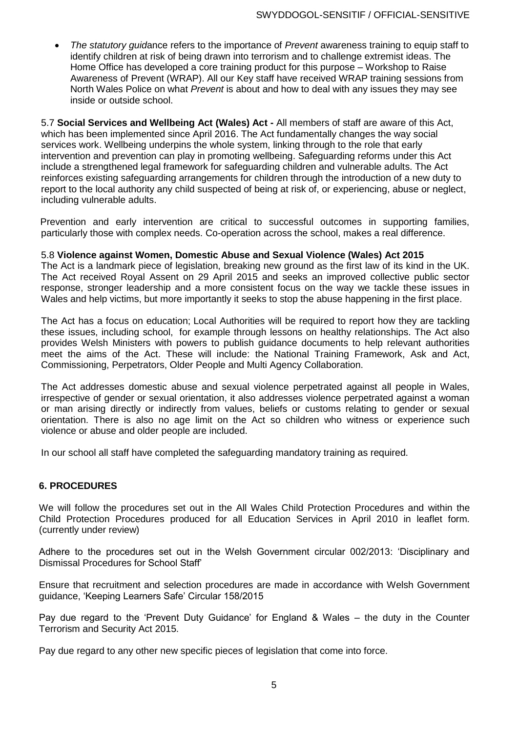*The statutory guid*ance refers to the importance of *Prevent* awareness training to equip staff to identify children at risk of being drawn into terrorism and to challenge extremist ideas. The Home Office has developed a core training product for this purpose – Workshop to Raise Awareness of Prevent (WRAP). All our Key staff have received WRAP training sessions from North Wales Police on what *Prevent* is about and how to deal with any issues they may see inside or outside school.

5.7 **Social Services and Wellbeing Act (Wales) Act -** All members of staff are aware of this Act, which has been implemented since April 2016. The Act fundamentally changes the way social services work. Wellbeing underpins the whole system, linking through to the role that early intervention and prevention can play in promoting wellbeing. Safeguarding reforms under this Act include a strengthened legal framework for safeguarding children and vulnerable adults. The Act reinforces existing safeguarding arrangements for children through the introduction of a new duty to report to the local authority any child suspected of being at risk of, or experiencing, abuse or neglect, including vulnerable adults.

 Prevention and early intervention are critical to successful outcomes in supporting families, particularly those with complex needs. Co-operation across the school, makes a real difference.

### 5.8 **Violence against Women, Domestic Abuse and Sexual Violence (Wales) Act 2015**

The Act is a landmark piece of legislation, breaking new ground as the first law of its kind in the UK. The Act received Royal Assent on 29 April 2015 and seeks an improved collective public sector response, stronger leadership and a more consistent focus on the way we tackle these issues in Wales and help victims, but more importantly it seeks to stop the abuse happening in the first place.

The Act has a focus on education; Local Authorities will be required to report how they are tackling these issues, including school, for example through lessons on healthy relationships. The Act also provides Welsh Ministers with powers to publish guidance documents to help relevant authorities meet the aims of the Act. These will include: the National Training Framework, Ask and Act, Commissioning, Perpetrators, Older People and Multi Agency Collaboration.

The Act addresses domestic abuse and sexual violence perpetrated against all people in Wales, irrespective of gender or sexual orientation, it also addresses violence perpetrated against a woman or man arising directly or indirectly from values, beliefs or customs relating to gender or sexual orientation. There is also no age limit on the Act so children who witness or experience such violence or abuse and older people are included.

In our school all staff have completed the safeguarding mandatory training as required.

### **6. PROCEDURES**

We will follow the procedures set out in the All Wales Child Protection Procedures and within the Child Protection Procedures produced for all Education Services in April 2010 in leaflet form. (currently under review)

Adhere to the procedures set out in the Welsh Government circular 002/2013: 'Disciplinary and Dismissal Procedures for School Staff'

Ensure that recruitment and selection procedures are made in accordance with Welsh Government guidance, 'Keeping Learners Safe' Circular 158/2015

Pay due regard to the 'Prevent Duty Guidance' for England & Wales – the duty in the Counter Terrorism and Security Act 2015.

Pay due regard to any other new specific pieces of legislation that come into force.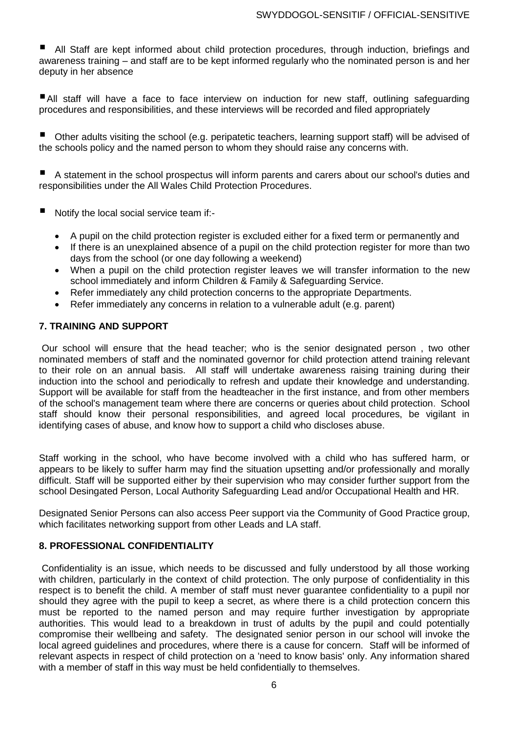All Staff are kept informed about child protection procedures, through induction, briefings and awareness training – and staff are to be kept informed regularly who the nominated person is and her deputy in her absence

All staff will have a face to face interview on induction for new staff, outlining safeguarding procedures and responsibilities, and these interviews will be recorded and filed appropriately

 Other adults visiting the school (e.g. peripatetic teachers, learning support staff) will be advised of the schools policy and the named person to whom they should raise any concerns with.

 A statement in the school prospectus will inform parents and carers about our school's duties and responsibilities under the All Wales Child Protection Procedures.

- Notify the local social service team if:-
	- A pupil on the child protection register is excluded either for a fixed term or permanently and
	- If there is an unexplained absence of a pupil on the child protection register for more than two days from the school (or one day following a weekend)
	- When a pupil on the child protection register leaves we will transfer information to the new school immediately and inform Children & Family & Safeguarding Service.
	- Refer immediately any child protection concerns to the appropriate Departments.
	- Refer immediately any concerns in relation to a vulnerable adult (e.g. parent)

#### **7. TRAINING AND SUPPORT**

Our school will ensure that the head teacher; who is the senior designated person , two other nominated members of staff and the nominated governor for child protection attend training relevant to their role on an annual basis. All staff will undertake awareness raising training during their induction into the school and periodically to refresh and update their knowledge and understanding. Support will be available for staff from the headteacher in the first instance, and from other members of the school's management team where there are concerns or queries about child protection. School staff should know their personal responsibilities, and agreed local procedures, be vigilant in identifying cases of abuse, and know how to support a child who discloses abuse.

Staff working in the school, who have become involved with a child who has suffered harm, or appears to be likely to suffer harm may find the situation upsetting and/or professionally and morally difficult. Staff will be supported either by their supervision who may consider further support from the school Desingated Person, Local Authority Safeguarding Lead and/or Occupational Health and HR.

Designated Senior Persons can also access Peer support via the Community of Good Practice group, which facilitates networking support from other Leads and LA staff.

#### **8. PROFESSIONAL CONFIDENTIALITY**

Confidentiality is an issue, which needs to be discussed and fully understood by all those working with children, particularly in the context of child protection. The only purpose of confidentiality in this respect is to benefit the child. A member of staff must never guarantee confidentiality to a pupil nor should they agree with the pupil to keep a secret, as where there is a child protection concern this must be reported to the named person and may require further investigation by appropriate authorities. This would lead to a breakdown in trust of adults by the pupil and could potentially compromise their wellbeing and safety. The designated senior person in our school will invoke the local agreed guidelines and procedures, where there is a cause for concern. Staff will be informed of relevant aspects in respect of child protection on a 'need to know basis' only. Any information shared with a member of staff in this way must be held confidentially to themselves.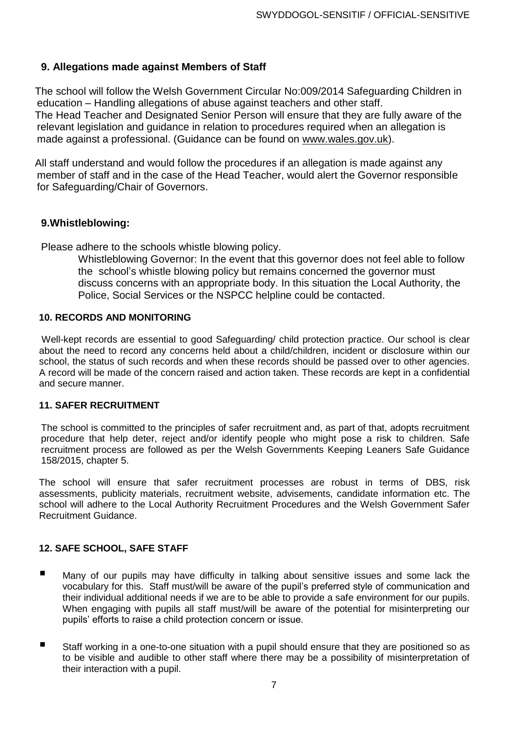# **9. Allegations made against Members of Staff**

The school will follow the Welsh Government Circular No:009/2014 Safeguarding Children in education – Handling allegations of abuse against teachers and other staff. The Head Teacher and Designated Senior Person will ensure that they are fully aware of the relevant legislation and guidance in relation to procedures required when an allegation is made against a professional. (Guidance can be found on [www.wales.gov.uk\)](http://www.wales.gov.uk/).

All staff understand and would follow the procedures if an allegation is made against any member of staff and in the case of the Head Teacher, would alert the Governor responsible for Safeguarding/Chair of Governors.

# **9.Whistleblowing:**

Please adhere to the schools whistle blowing policy.

Whistleblowing Governor: In the event that this governor does not feel able to follow the school's whistle blowing policy but remains concerned the governor must discuss concerns with an appropriate body. In this situation the Local Authority, the Police, Social Services or the NSPCC helpline could be contacted.

### **10. RECORDS AND MONITORING**

Well-kept records are essential to good Safeguarding/ child protection practice. Our school is clear about the need to record any concerns held about a child/children, incident or disclosure within our school, the status of such records and when these records should be passed over to other agencies. A record will be made of the concern raised and action taken. These records are kept in a confidential and secure manner.

### **11. SAFER RECRUITMENT**

The school is committed to the principles of safer recruitment and, as part of that, adopts recruitment procedure that help deter, reject and/or identify people who might pose a risk to children. Safe recruitment process are followed as per the Welsh Governments Keeping Leaners Safe Guidance 158/2015, chapter 5.

The school will ensure that safer recruitment processes are robust in terms of DBS, risk assessments, publicity materials, recruitment website, advisements, candidate information etc. The school will adhere to the Local Authority Recruitment Procedures and the Welsh Government Safer Recruitment Guidance.

### **12. SAFE SCHOOL, SAFE STAFF**

- **Many of our pupils may have difficulty in talking about sensitive issues and some lack the** vocabulary for this. Staff must/will be aware of the pupil's preferred style of communication and their individual additional needs if we are to be able to provide a safe environment for our pupils. When engaging with pupils all staff must/will be aware of the potential for misinterpreting our pupils' efforts to raise a child protection concern or issue.
- Staff working in a one-to-one situation with a pupil should ensure that they are positioned so as to be visible and audible to other staff where there may be a possibility of misinterpretation of their interaction with a pupil.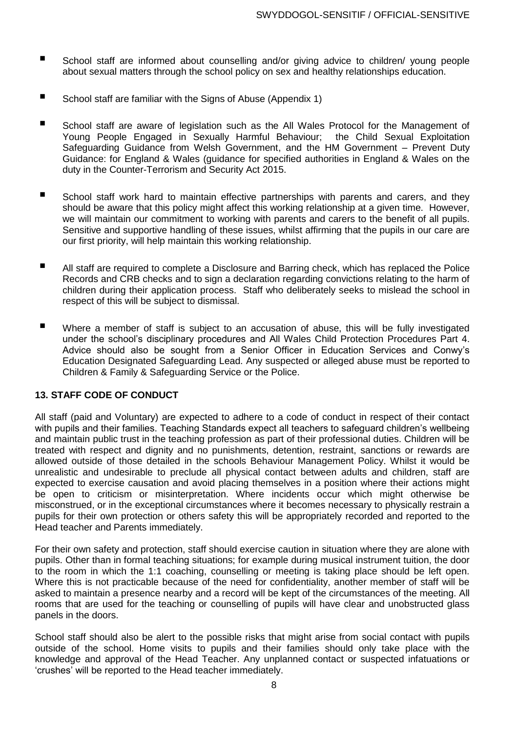- School staff are informed about counselling and/or giving advice to children/ young people about sexual matters through the school policy on sex and healthy relationships education.
- School staff are familiar with the Signs of Abuse (Appendix 1)
- School staff are aware of legislation such as the All Wales Protocol for the Management of Young People Engaged in Sexually Harmful Behaviour; the Child Sexual Exploitation Safeguarding Guidance from Welsh Government, and the HM Government – Prevent Duty Guidance: for England & Wales (guidance for specified authorities in England & Wales on the duty in the Counter-Terrorism and Security Act 2015.
- School staff work hard to maintain effective partnerships with parents and carers, and they should be aware that this policy might affect this working relationship at a given time. However, we will maintain our commitment to working with parents and carers to the benefit of all pupils. Sensitive and supportive handling of these issues, whilst affirming that the pupils in our care are our first priority, will help maintain this working relationship.
- All staff are required to complete <sup>a</sup> Disclosure and Barring check, which has replaced the Police Records and CRB checks and to sign a declaration regarding convictions relating to the harm of children during their application process. Staff who deliberately seeks to mislead the school in respect of this will be subject to dismissal.
- Where a member of staff is subject to an accusation of abuse, this will be fully investigated under the school's disciplinary procedures and All Wales Child Protection Procedures Part 4. Advice should also be sought from a Senior Officer in Education Services and Conwy's Education Designated Safeguarding Lead. Any suspected or alleged abuse must be reported to Children & Family & Safeguarding Service or the Police.

### **13. STAFF CODE OF CONDUCT**

All staff (paid and Voluntary) are expected to adhere to a code of conduct in respect of their contact with pupils and their families. Teaching Standards expect all teachers to safeguard children's wellbeing and maintain public trust in the teaching profession as part of their professional duties. Children will be treated with respect and dignity and no punishments, detention, restraint, sanctions or rewards are allowed outside of those detailed in the schools Behaviour Management Policy. Whilst it would be unrealistic and undesirable to preclude all physical contact between adults and children, staff are expected to exercise causation and avoid placing themselves in a position where their actions might be open to criticism or misinterpretation. Where incidents occur which might otherwise be misconstrued, or in the exceptional circumstances where it becomes necessary to physically restrain a pupils for their own protection or others safety this will be appropriately recorded and reported to the Head teacher and Parents immediately.

For their own safety and protection, staff should exercise caution in situation where they are alone with pupils. Other than in formal teaching situations; for example during musical instrument tuition, the door to the room in which the 1:1 coaching, counselling or meeting is taking place should be left open. Where this is not practicable because of the need for confidentiality, another member of staff will be asked to maintain a presence nearby and a record will be kept of the circumstances of the meeting. All rooms that are used for the teaching or counselling of pupils will have clear and unobstructed glass panels in the doors.

School staff should also be alert to the possible risks that might arise from social contact with pupils outside of the school. Home visits to pupils and their families should only take place with the knowledge and approval of the Head Teacher. Any unplanned contact or suspected infatuations or 'crushes' will be reported to the Head teacher immediately.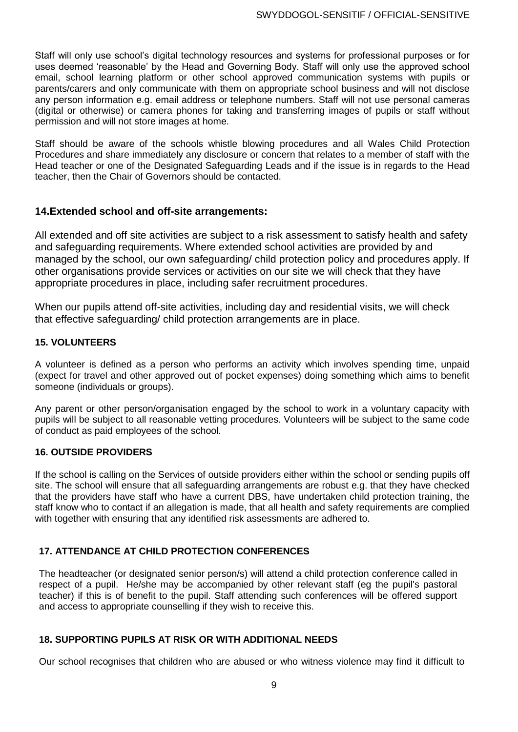Staff will only use school's digital technology resources and systems for professional purposes or for uses deemed 'reasonable' by the Head and Governing Body. Staff will only use the approved school email, school learning platform or other school approved communication systems with pupils or parents/carers and only communicate with them on appropriate school business and will not disclose any person information e.g. email address or telephone numbers. Staff will not use personal cameras (digital or otherwise) or camera phones for taking and transferring images of pupils or staff without permission and will not store images at home.

Staff should be aware of the schools whistle blowing procedures and all Wales Child Protection Procedures and share immediately any disclosure or concern that relates to a member of staff with the Head teacher or one of the Designated Safeguarding Leads and if the issue is in regards to the Head teacher, then the Chair of Governors should be contacted.

# **14.Extended school and off-site arrangements:**

All extended and off site activities are subject to a risk assessment to satisfy health and safety and safeguarding requirements. Where extended school activities are provided by and managed by the school, our own safeguarding/ child protection policy and procedures apply. If other organisations provide services or activities on our site we will check that they have appropriate procedures in place, including safer recruitment procedures.

When our pupils attend off-site activities, including day and residential visits, we will check that effective safeguarding/ child protection arrangements are in place.

# **15. VOLUNTEERS**

A volunteer is defined as a person who performs an activity which involves spending time, unpaid (expect for travel and other approved out of pocket expenses) doing something which aims to benefit someone (individuals or groups).

Any parent or other person/organisation engaged by the school to work in a voluntary capacity with pupils will be subject to all reasonable vetting procedures. Volunteers will be subject to the same code of conduct as paid employees of the school.

# **16. OUTSIDE PROVIDERS**

If the school is calling on the Services of outside providers either within the school or sending pupils off site. The school will ensure that all safeguarding arrangements are robust e.g. that they have checked that the providers have staff who have a current DBS, have undertaken child protection training, the staff know who to contact if an allegation is made, that all health and safety requirements are complied with together with ensuring that any identified risk assessments are adhered to.

# **17. ATTENDANCE AT CHILD PROTECTION CONFERENCES**

The headteacher (or designated senior person/s) will attend a child protection conference called in respect of a pupil. He/she may be accompanied by other relevant staff (eg the pupil's pastoral teacher) if this is of benefit to the pupil. Staff attending such conferences will be offered support and access to appropriate counselling if they wish to receive this.

# **18. SUPPORTING PUPILS AT RISK OR WITH ADDITIONAL NEEDS**

Our school recognises that children who are abused or who witness violence may find it difficult to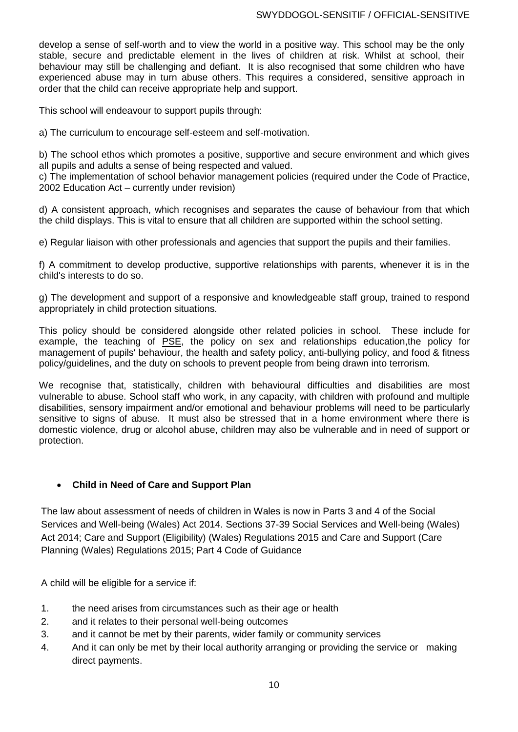develop a sense of self-worth and to view the world in a positive way. This school may be the only stable, secure and predictable element in the lives of children at risk. Whilst at school, their behaviour may still be challenging and defiant. It is also recognised that some children who have experienced abuse may in turn abuse others. This requires a considered, sensitive approach in order that the child can receive appropriate help and support.

This school will endeavour to support pupils through:

a) The curriculum to encourage self-esteem and self-motivation.

b) The school ethos which promotes a positive, supportive and secure environment and which gives all pupils and adults a sense of being respected and valued.

c) The implementation of school behavior management policies (required under the Code of Practice, 2002 Education Act – currently under revision)

d) A consistent approach, which recognises and separates the cause of behaviour from that which the child displays. This is vital to ensure that all children are supported within the school setting.

e) Regular liaison with other professionals and agencies that support the pupils and their families.

f) A commitment to develop productive, supportive relationships with parents, whenever it is in the child's interests to do so.

g) The development and support of a responsive and knowledgeable staff group, trained to respond appropriately in child protection situations.

This policy should be considered alongside other related policies in school. These include for example, the teaching of PSE, the policy on sex and relationships education,the policy for management of pupils' behaviour, the health and safety policy, anti-bullying policy, and food & fitness policy/guidelines, and the duty on schools to prevent people from being drawn into terrorism.

We recognise that, statistically, children with behavioural difficulties and disabilities are most vulnerable to abuse. School staff who work, in any capacity, with children with profound and multiple disabilities, sensory impairment and/or emotional and behaviour problems will need to be particularly sensitive to signs of abuse. It must also be stressed that in a home environment where there is domestic violence, drug or alcohol abuse, children may also be vulnerable and in need of support or protection.

### **Child in Need of Care and Support Plan**

The law about assessment of needs of children in Wales is now in Parts 3 and 4 of the Social Services and Well-being (Wales) Act 2014. Sections 37-39 Social Services and Well-being (Wales) Act 2014; Care and Support (Eligibility) (Wales) Regulations 2015 and Care and Support (Care Planning (Wales) Regulations 2015; Part 4 Code of Guidance

A child will be eligible for a service if:

- 1. the need arises from circumstances such as their age or health
- 2. and it relates to their personal well-being outcomes
- 3. and it cannot be met by their parents, wider family or community services
- 4. And it can only be met by their local authority arranging or providing the service or making direct payments.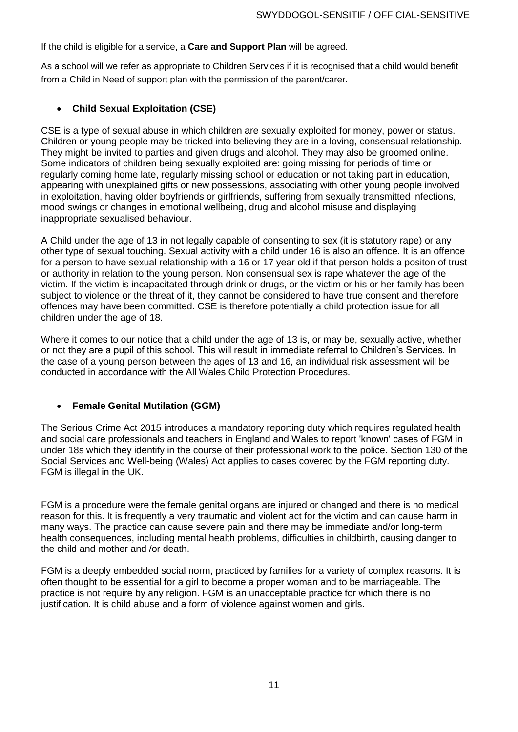If the child is eligible for a service, a **Care and Support Plan** will be agreed.

As a school will we refer as appropriate to Children Services if it is recognised that a child would benefit from a Child in Need of support plan with the permission of the parent/carer.

### **Child Sexual Exploitation (CSE)**

CSE is a type of sexual abuse in which children are sexually exploited for money, power or status. Children or young people may be tricked into believing they are in a loving, consensual relationship. They might be invited to parties and given drugs and alcohol. They may also be groomed online. Some indicators of children being sexually exploited are: going missing for periods of time or regularly coming home late, regularly missing school or education or not taking part in education, appearing with unexplained gifts or new possessions, associating with other young people involved in exploitation, having older boyfriends or girlfriends, suffering from sexually transmitted infections, mood swings or changes in emotional wellbeing, drug and alcohol misuse and displaying inappropriate sexualised behaviour.

A Child under the age of 13 in not legally capable of consenting to sex (it is statutory rape) or any other type of sexual touching. Sexual activity with a child under 16 is also an offence. It is an offence for a person to have sexual relationship with a 16 or 17 year old if that person holds a positon of trust or authority in relation to the young person. Non consensual sex is rape whatever the age of the victim. If the victim is incapacitated through drink or drugs, or the victim or his or her family has been subject to violence or the threat of it, they cannot be considered to have true consent and therefore offences may have been committed. CSE is therefore potentially a child protection issue for all children under the age of 18.

Where it comes to our notice that a child under the age of 13 is, or may be, sexually active, whether or not they are a pupil of this school. This will result in immediate referral to Children's Services. In the case of a young person between the ages of 13 and 16, an individual risk assessment will be conducted in accordance with the All Wales Child Protection Procedures.

### **Female Genital Mutilation (GGM)**

The Serious Crime Act 2015 introduces a mandatory reporting duty which requires regulated health and social care professionals and teachers in England and Wales to report 'known' cases of FGM in under 18s which they identify in the course of their professional work to the police. Section 130 of the Social Services and Well-being (Wales) Act applies to cases covered by the FGM reporting duty. FGM is illegal in the UK.

FGM is a procedure were the female genital organs are injured or changed and there is no medical reason for this. It is frequently a very traumatic and violent act for the victim and can cause harm in many ways. The practice can cause severe pain and there may be immediate and/or long-term health consequences, including mental health problems, difficulties in childbirth, causing danger to the child and mother and /or death.

FGM is a deeply embedded social norm, practiced by families for a variety of complex reasons. It is often thought to be essential for a girl to become a proper woman and to be marriageable. The practice is not require by any religion. FGM is an unacceptable practice for which there is no justification. It is child abuse and a form of violence against women and girls.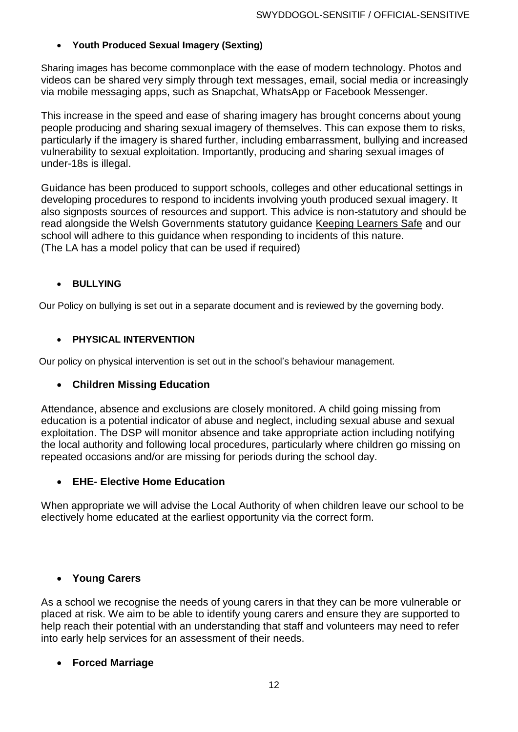# **Youth Produced Sexual Imagery (Sexting)**

Sharing images has become commonplace with the ease of modern technology. Photos and videos can be shared very simply through text messages, email, social media or increasingly via mobile messaging apps, such as Snapchat, WhatsApp or Facebook Messenger.

This increase in the speed and ease of sharing imagery has brought concerns about young people producing and sharing sexual imagery of themselves. This can expose them to risks, particularly if the imagery is shared further, including embarrassment, bullying and increased vulnerability to sexual exploitation. Importantly, producing and sharing sexual images of under-18s is illegal.

Guidance has been produced to support schools, colleges and other educational settings in developing procedures to respond to incidents involving youth produced sexual imagery. It also signposts sources of resources and support. This advice is non-statutory and should be read alongside the Welsh Governments statutory guidance [Keeping Learners Safe](http://learning.gov.wales/resources/browse-all/keeping-learners-safe/?lang=en) and our school will adhere to this guidance when responding to incidents of this nature. (The LA has a model policy that can be used if required)

# **BULLYING**

Our Policy on bullying is set out in a separate document and is reviewed by the governing body.

# **PHYSICAL INTERVENTION**

Our policy on physical intervention is set out in the school's behaviour management.

# **Children Missing Education**

Attendance, absence and exclusions are closely monitored. A child going missing from education is a potential indicator of abuse and neglect, including sexual abuse and sexual exploitation. The DSP will monitor absence and take appropriate action including notifying the local authority and following local procedures, particularly where children go missing on repeated occasions and/or are missing for periods during the school day.

# **EHE- Elective Home Education**

When appropriate we will advise the Local Authority of when children leave our school to be electively home educated at the earliest opportunity via the correct form.

# **Young Carers**

As a school we recognise the needs of young carers in that they can be more vulnerable or placed at risk. We aim to be able to identify young carers and ensure they are supported to help reach their potential with an understanding that staff and volunteers may need to refer into early help services for an assessment of their needs.

# **Forced Marriage**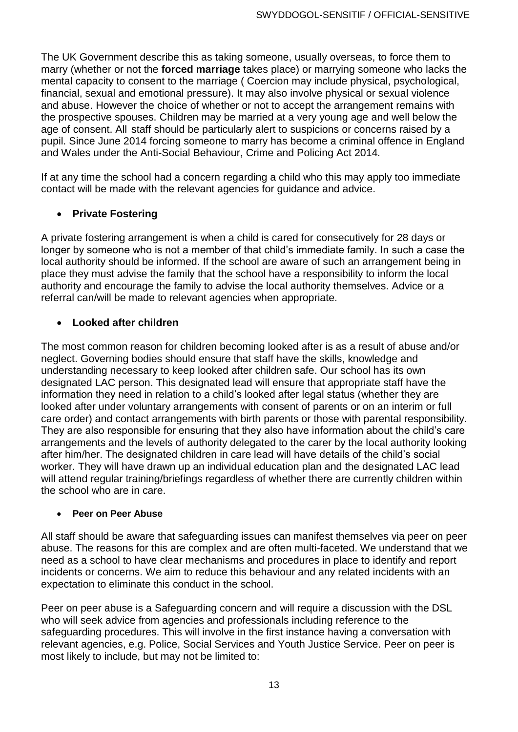The UK Government describe this as taking someone, usually overseas, to force them to marry (whether or not the **forced marriage** takes place) or marrying someone who lacks the mental capacity to consent to the marriage ( Coercion may include physical, psychological, financial, sexual and emotional pressure). It may also involve physical or sexual violence and abuse. However the choice of whether or not to accept the arrangement remains with the prospective spouses. Children may be married at a very young age and well below the age of consent. All staff should be particularly alert to suspicions or concerns raised by a pupil. Since June 2014 forcing someone to marry has become a criminal offence in England and Wales under the Anti-Social Behaviour, Crime and Policing Act 2014*.*

If at any time the school had a concern regarding a child who this may apply too immediate contact will be made with the relevant agencies for guidance and advice.

# **Private Fostering**

A private fostering arrangement is when a child is cared for consecutively for 28 days or longer by someone who is not a member of that child's immediate family. In such a case the local authority should be informed. If the school are aware of such an arrangement being in place they must advise the family that the school have a responsibility to inform the local authority and encourage the family to advise the local authority themselves. Advice or a referral can/will be made to relevant agencies when appropriate.

# **Looked after children**

The most common reason for children becoming looked after is as a result of abuse and/or neglect. Governing bodies should ensure that staff have the skills, knowledge and understanding necessary to keep looked after children safe. Our school has its own designated LAC person. This designated lead will ensure that appropriate staff have the information they need in relation to a child's looked after legal status (whether they are looked after under voluntary arrangements with consent of parents or on an interim or full care order) and contact arrangements with birth parents or those with parental responsibility. They are also responsible for ensuring that they also have information about the child's care arrangements and the levels of authority delegated to the carer by the local authority looking after him/her. The designated children in care lead will have details of the child's social worker. They will have drawn up an individual education plan and the designated LAC lead will attend regular training/briefings regardless of whether there are currently children within the school who are in care.

# **Peer on Peer Abuse**

All staff should be aware that safeguarding issues can manifest themselves via peer on peer abuse. The reasons for this are complex and are often multi-faceted. We understand that we need as a school to have clear mechanisms and procedures in place to identify and report incidents or concerns. We aim to reduce this behaviour and any related incidents with an expectation to eliminate this conduct in the school.

Peer on peer abuse is a Safeguarding concern and will require a discussion with the DSL who will seek advice from agencies and professionals including reference to the safeguarding procedures. This will involve in the first instance having a conversation with relevant agencies, e.g. Police, Social Services and Youth Justice Service. Peer on peer is most likely to include, but may not be limited to: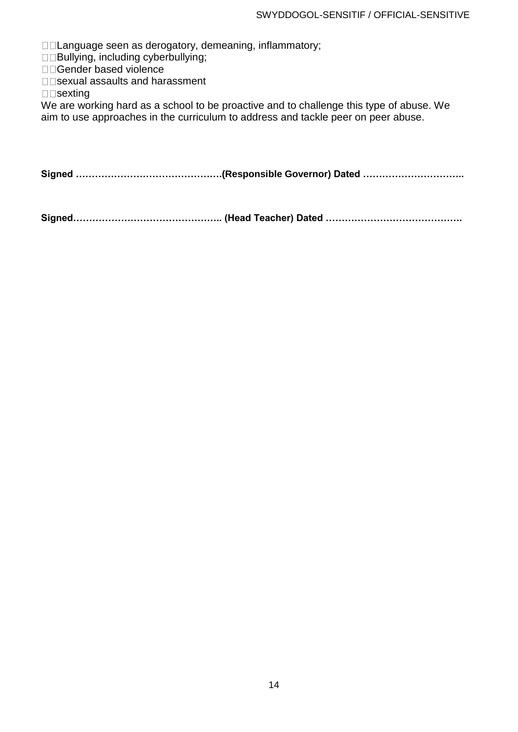□□Language seen as derogatory, demeaning, inflammatory;

□□Bullying, including cyberbullying;

□□Gender based violence

□□sexual assaults and harassment

 $\square$  sexting

We are working hard as a school to be proactive and to challenge this type of abuse. We aim to use approaches in the curriculum to address and tackle peer on peer abuse.

**Signed ……………………………………….(Responsible Governor) Dated …………………………..**

**Signed……………………………………….. (Head Teacher) Dated …………………………………….**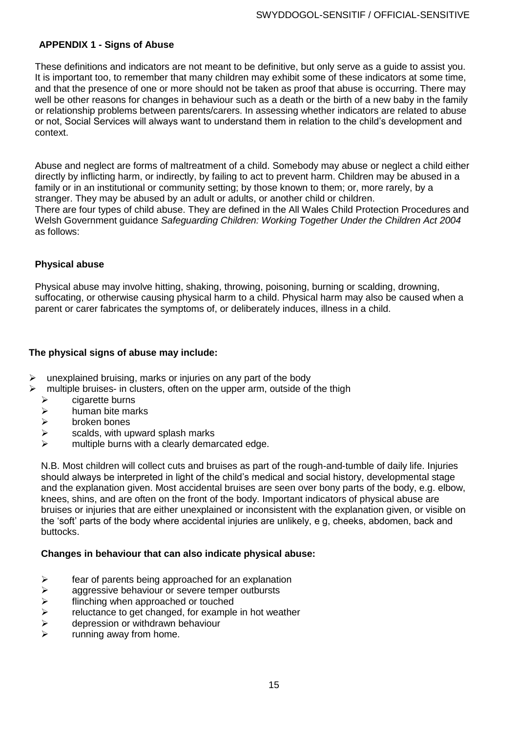### **APPENDIX 1 - Signs of Abuse**

These definitions and indicators are not meant to be definitive, but only serve as a guide to assist you. It is important too, to remember that many children may exhibit some of these indicators at some time, and that the presence of one or more should not be taken as proof that abuse is occurring. There may well be other reasons for changes in behaviour such as a death or the birth of a new baby in the family or relationship problems between parents/carers. In assessing whether indicators are related to abuse or not, Social Services will always want to understand them in relation to the child's development and context.

Abuse and neglect are forms of maltreatment of a child. Somebody may abuse or neglect a child either directly by inflicting harm, or indirectly, by failing to act to prevent harm. Children may be abused in a family or in an institutional or community setting; by those known to them; or, more rarely, by a stranger. They may be abused by an adult or adults, or another child or children. There are four types of child abuse. They are defined in the All Wales Child Protection Procedures and Welsh Government guidance *Safeguarding Children: Working Together Under the Children Act 2004*  as follows:

#### **Physical abuse**

Physical abuse may involve hitting, shaking, throwing, poisoning, burning or scalding, drowning, suffocating, or otherwise causing physical harm to a child. Physical harm may also be caused when a parent or carer fabricates the symptoms of, or deliberately induces, illness in a child.

### **The physical signs of abuse may include:**

- $\triangleright$  unexplained bruising, marks or injuries on any part of the body
- multiple bruises- in clusters, often on the upper arm, outside of the thigh
	- cigarette burns
	- $\triangleright$  human bite marks
	- $\triangleright$  broken bones
	- $\triangleright$  scalds, with upward splash marks
	- $\triangleright$  multiple burns with a clearly demarcated edge.

N.B. Most children will collect cuts and bruises as part of the rough-and-tumble of daily life. Injuries should always be interpreted in light of the child's medical and social history, developmental stage and the explanation given. Most accidental bruises are seen over bony parts of the body, e.g. elbow, knees, shins, and are often on the front of the body. Important indicators of physical abuse are bruises or injuries that are either unexplained or inconsistent with the explanation given, or visible on the 'soft' parts of the body where accidental injuries are unlikely, e g, cheeks, abdomen, back and buttocks.

#### **Changes in behaviour that can also indicate physical abuse:**

- $\triangleright$  fear of parents being approached for an explanation
- $\triangleright$  aggressive behaviour or severe temper outbursts
- $\ge$  flinching when approached or touched<br> $\ge$  reluctance to get changed, for example
- reluctance to get changed, for example in hot weather
- $\triangleright$  depression or withdrawn behaviour
- running away from home.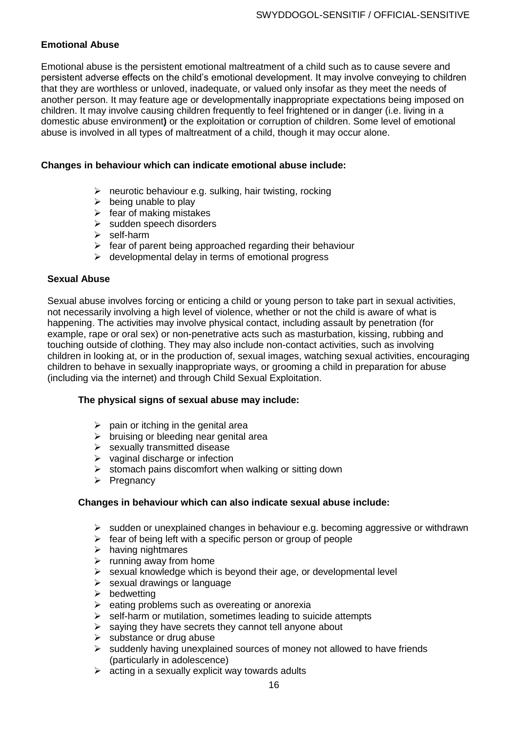# **Emotional Abuse**

Emotional abuse is the persistent emotional maltreatment of a child such as to cause severe and persistent adverse effects on the child's emotional development. It may involve conveying to children that they are worthless or unloved, inadequate, or valued only insofar as they meet the needs of another person. It may feature age or developmentally inappropriate expectations being imposed on children. It may involve causing children frequently to feel frightened or in danger (i.e. living in a domestic abuse environment**)** or the exploitation or corruption of children. Some level of emotional abuse is involved in all types of maltreatment of a child, though it may occur alone.

#### **Changes in behaviour which can indicate emotional abuse include:**

- $\triangleright$  neurotic behaviour e.g. sulking, hair twisting, rocking
- $\triangleright$  being unable to play
- $\triangleright$  fear of making mistakes
- > sudden speech disorders
- $\triangleright$  self-harm
- $\triangleright$  fear of parent being approached regarding their behaviour
- $\triangleright$  developmental delay in terms of emotional progress

#### **Sexual Abuse**

Sexual abuse involves forcing or enticing a child or young person to take part in sexual activities, not necessarily involving a high level of violence, whether or not the child is aware of what is happening. The activities may involve physical contact, including assault by penetration (for example, rape or oral sex) or non-penetrative acts such as masturbation, kissing, rubbing and touching outside of clothing. They may also include non-contact activities, such as involving children in looking at, or in the production of, sexual images, watching sexual activities, encouraging children to behave in sexually inappropriate ways, or grooming a child in preparation for abuse (including via the internet) and through Child Sexual Exploitation.

#### **The physical signs of sexual abuse may include:**

- $\triangleright$  pain or itching in the genital area
- $\triangleright$  bruising or bleeding near genital area
- $\triangleright$  sexually transmitted disease
- $\triangleright$  vaginal discharge or infection
- $\triangleright$  stomach pains discomfort when walking or sitting down
- $\triangleright$  Pregnancy

### **Changes in behaviour which can also indicate sexual abuse include:**

- $\triangleright$  sudden or unexplained changes in behaviour e.g. becoming aggressive or withdrawn
- $\triangleright$  fear of being left with a specific person or group of people
- $\triangleright$  having nightmares
- $\triangleright$  running away from home
- $\triangleright$  sexual knowledge which is beyond their age, or developmental level
- $\triangleright$  sexual drawings or language
- $\triangleright$  bedwetting
- $\triangleright$  eating problems such as overeating or anorexia
- $\triangleright$  self-harm or mutilation, sometimes leading to suicide attempts
- $\triangleright$  saying they have secrets they cannot tell anyone about
- $\triangleright$  substance or drug abuse
- $\triangleright$  suddenly having unexplained sources of money not allowed to have friends (particularly in adolescence)
- $\triangleright$  acting in a sexually explicit way towards adults